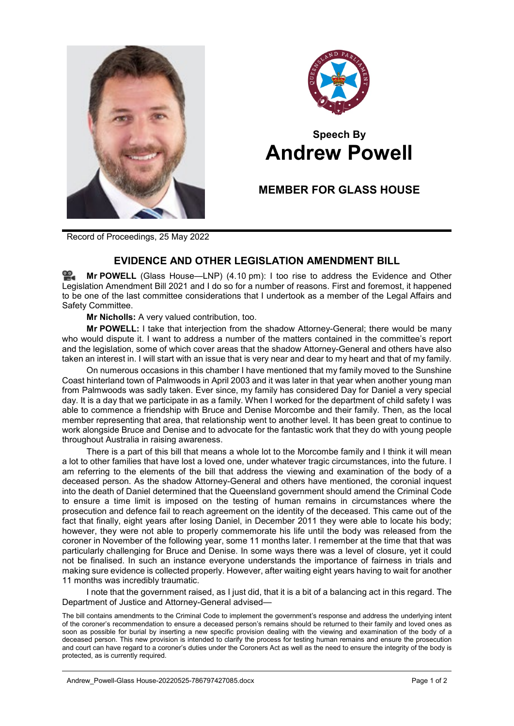



# **Speech By Andrew Powell**

## **MEMBER FOR GLASS HOUSE**

Record of Proceedings, 25 May 2022

## **EVIDENCE AND OTHER LEGISLATION AMENDMENT BILL**

≌. **Mr [POWELL](http://www.parliament.qld.gov.au/docs/find.aspx?id=0Mba20220525_161035)** (Glass House—LNP) (4.10 pm): I too rise to address the Evidence and Other Legislation Amendment Bill 2021 and I do so for a number of reasons. First and foremost, it happened to be one of the last committee considerations that I undertook as a member of the Legal Affairs and Safety Committee.

**Mr Nicholls:** A very valued contribution, too.

**Mr POWELL:** I take that interjection from the shadow Attorney-General; there would be many who would dispute it. I want to address a number of the matters contained in the committee's report and the legislation, some of which cover areas that the shadow Attorney-General and others have also taken an interest in. I will start with an issue that is very near and dear to my heart and that of my family.

On numerous occasions in this chamber I have mentioned that my family moved to the Sunshine Coast hinterland town of Palmwoods in April 2003 and it was later in that year when another young man from Palmwoods was sadly taken. Ever since, my family has considered Day for Daniel a very special day. It is a day that we participate in as a family. When I worked for the department of child safety I was able to commence a friendship with Bruce and Denise Morcombe and their family. Then, as the local member representing that area, that relationship went to another level. It has been great to continue to work alongside Bruce and Denise and to advocate for the fantastic work that they do with young people throughout Australia in raising awareness.

There is a part of this bill that means a whole lot to the Morcombe family and I think it will mean a lot to other families that have lost a loved one, under whatever tragic circumstances, into the future. I am referring to the elements of the bill that address the viewing and examination of the body of a deceased person. As the shadow Attorney-General and others have mentioned, the coronial inquest into the death of Daniel determined that the Queensland government should amend the Criminal Code to ensure a time limit is imposed on the testing of human remains in circumstances where the prosecution and defence fail to reach agreement on the identity of the deceased. This came out of the fact that finally, eight years after losing Daniel, in December 2011 they were able to locate his body; however, they were not able to properly commemorate his life until the body was released from the coroner in November of the following year, some 11 months later. I remember at the time that that was particularly challenging for Bruce and Denise. In some ways there was a level of closure, yet it could not be finalised. In such an instance everyone understands the importance of fairness in trials and making sure evidence is collected properly. However, after waiting eight years having to wait for another 11 months was incredibly traumatic.

I note that the government raised, as I just did, that it is a bit of a balancing act in this regard. The Department of Justice and Attorney-General advised—

The bill contains amendments to the Criminal Code to implement the government's response and address the underlying intent of the coroner's recommendation to ensure a deceased person's remains should be returned to their family and loved ones as soon as possible for burial by inserting a new specific provision dealing with the viewing and examination of the body of a deceased person. This new provision is intended to clarify the process for testing human remains and ensure the prosecution and court can have regard to a coroner's duties under the Coroners Act as well as the need to ensure the integrity of the body is protected, as is currently required.